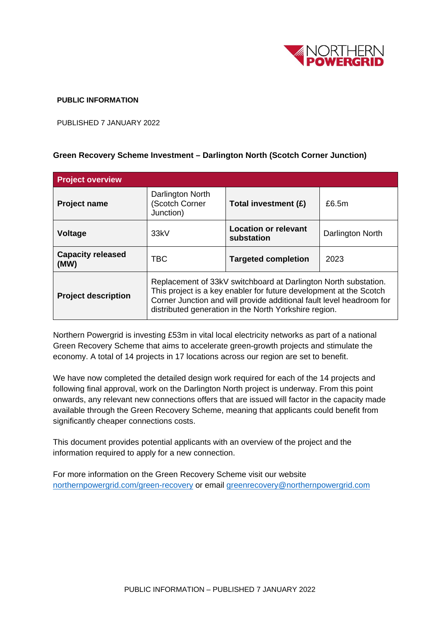

## **PUBLIC INFORMATION**

PUBLISHED 7 JANUARY 2022

## **Green Recovery Scheme Investment – Darlington North (Scotch Corner Junction)**

| <b>Project overview</b>          |                                                                                                                                                                                                                                                                        |                                           |                  |
|----------------------------------|------------------------------------------------------------------------------------------------------------------------------------------------------------------------------------------------------------------------------------------------------------------------|-------------------------------------------|------------------|
| <b>Project name</b>              | Darlington North<br>Scotch Corner<br>Junction)                                                                                                                                                                                                                         | Total investment (£)                      | £6.5m            |
| <b>Voltage</b>                   | 33kV                                                                                                                                                                                                                                                                   | <b>Location or relevant</b><br>substation | Darlington North |
| <b>Capacity released</b><br>(MW) | TBC                                                                                                                                                                                                                                                                    | <b>Targeted completion</b>                | 2023             |
| <b>Project description</b>       | Replacement of 33kV switchboard at Darlington North substation.<br>This project is a key enabler for future development at the Scotch<br>Corner Junction and will provide additional fault level headroom for<br>distributed generation in the North Yorkshire region. |                                           |                  |

Northern Powergrid is investing £53m in vital local electricity networks as part of a national Green Recovery Scheme that aims to accelerate green-growth projects and stimulate the economy. A total of 14 projects in 17 locations across our region are set to benefit.

We have now completed the detailed design work required for each of the 14 projects and following final approval, work on the Darlington North project is underway. From this point onwards, any relevant new connections offers that are issued will factor in the capacity made available through the Green Recovery Scheme, meaning that applicants could benefit from significantly cheaper connections costs.

This document provides potential applicants with an overview of the project and the information required to apply for a new connection.

For more information on the Green Recovery Scheme visit our website [northernpowergrid.com/green-recovery](mailto:northernpowergrid.com/green-recovery) or email [greenrecovery@northernpowergrid.com](mailto:greenrecovery@northernpowergrid.com)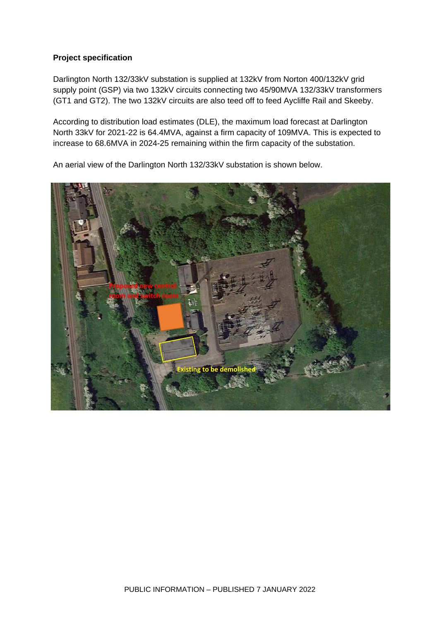## **Project specification**

Darlington North 132/33kV substation is supplied at 132kV from Norton 400/132kV grid supply point (GSP) via two 132kV circuits connecting two 45/90MVA 132/33kV transformers (GT1 and GT2). The two 132kV circuits are also teed off to feed Aycliffe Rail and Skeeby.

According to distribution load estimates (DLE), the maximum load forecast at Darlington North 33kV for 2021-22 is 64.4MVA, against a firm capacity of 109MVA. This is expected to increase to 68.6MVA in 2024-25 remaining within the firm capacity of the substation.

**Proposed new control room and switch room**

**Existing to be dem** 

An aerial view of the Darlington North 132/33kV substation is shown below.